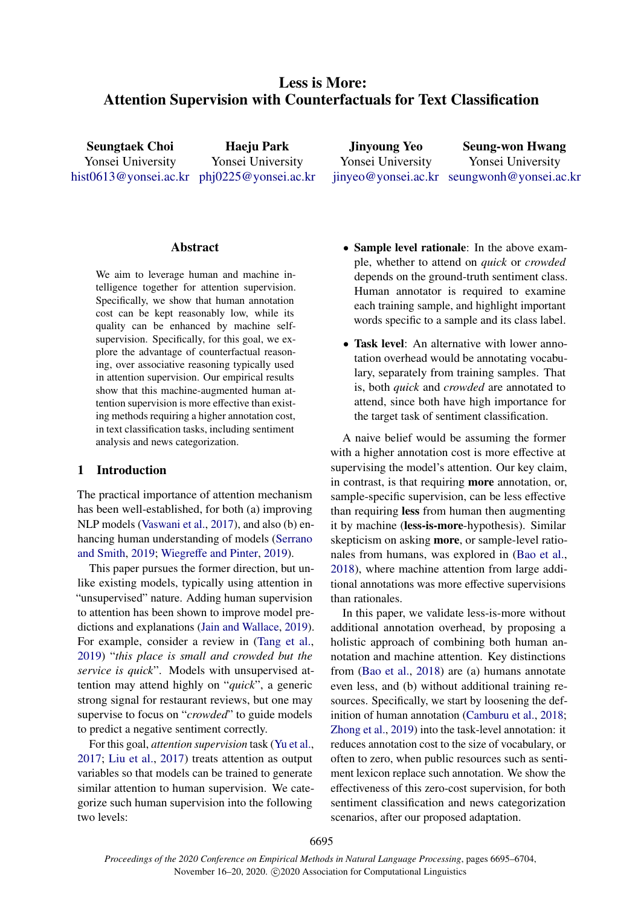# Less is More: Attention Supervision with Counterfactuals for Text Classification

Seungtaek Choi Yonsei University [hist0613@yonsei.ac.kr](mailto:hist0613@yonsei.ac.kr) [phj0225@yonsei.ac.kr](mailto:phj0225@yonsei.ac.kr)

Haeju Park Yonsei University

Jinyoung Yeo Yonsei University [jinyeo@yonsei.ac.kr](mailto:jinyeo@yonsei.ac.kr) [seungwonh@yonsei.ac.kr](mailto:seungwonh@yonsei.ac.kr) Seung-won Hwang Yonsei University

# **Abstract**

We aim to leverage human and machine intelligence together for attention supervision. Specifically, we show that human annotation cost can be kept reasonably low, while its quality can be enhanced by machine selfsupervision. Specifically, for this goal, we explore the advantage of counterfactual reasoning, over associative reasoning typically used in attention supervision. Our empirical results show that this machine-augmented human attention supervision is more effective than existing methods requiring a higher annotation cost, in text classification tasks, including sentiment analysis and news categorization.

## <span id="page-0-0"></span>1 Introduction

The practical importance of attention mechanism has been well-established, for both (a) improving NLP models [\(Vaswani et al.,](#page-9-0) [2017\)](#page-9-0), and also (b) enhancing human understanding of models [\(Serrano](#page-9-1) [and Smith,](#page-9-1) [2019;](#page-9-1) Wiegreff[e and Pinter,](#page-9-2) [2019\)](#page-9-2).

This paper pursues the former direction, but unlike existing models, typically using attention in "unsupervised" nature. Adding human supervision to attention has been shown to improve model predictions and explanations [\(Jain and Wallace,](#page-8-0) [2019\)](#page-8-0). For example, consider a review in [\(Tang et al.,](#page-9-3) [2019\)](#page-9-3) "*this place is small and crowded but the service is quick*". Models with unsupervised attention may attend highly on "*quick*", a generic strong signal for restaurant reviews, but one may supervise to focus on "*crowded*" to guide models to predict a negative sentiment correctly.

For this goal, *attention supervision* task [\(Yu et al.,](#page-9-4) [2017;](#page-9-4) [Liu et al.,](#page-8-1) [2017\)](#page-8-1) treats attention as output variables so that models can be trained to generate similar attention to human supervision. We categorize such human supervision into the following two levels:

- Sample level rationale: In the above example, whether to attend on *quick* or *crowded* depends on the ground-truth sentiment class. Human annotator is required to examine each training sample, and highlight important words specific to a sample and its class label.
- Task level: An alternative with lower annotation overhead would be annotating vocabulary, separately from training samples. That is, both *quick* and *crowded* are annotated to attend, since both have high importance for the target task of sentiment classification.

A naive belief would be assuming the former with a higher annotation cost is more effective at supervising the model's attention. Our key claim, in contrast, is that requiring more annotation, or, sample-specific supervision, can be less effective than requiring less from human then augmenting it by machine (less-is-more-hypothesis). Similar skepticism on asking more, or sample-level rationales from humans, was explored in [\(Bao et al.,](#page-8-2) [2018\)](#page-8-2), where machine attention from large additional annotations was more effective supervisions than rationales.

In this paper, we validate less-is-more without additional annotation overhead, by proposing a holistic approach of combining both human annotation and machine attention. Key distinctions from [\(Bao et al.,](#page-8-2) [2018\)](#page-8-2) are (a) humans annotate even less, and (b) without additional training resources. Specifically, we start by loosening the definition of human annotation [\(Camburu et al.,](#page-8-3) [2018;](#page-8-3) [Zhong et al.,](#page-9-5) [2019\)](#page-9-5) into the task-level annotation: it reduces annotation cost to the size of vocabulary, or often to zero, when public resources such as sentiment lexicon replace such annotation. We show the effectiveness of this zero-cost supervision, for both sentiment classification and news categorization scenarios, after our proposed adaptation.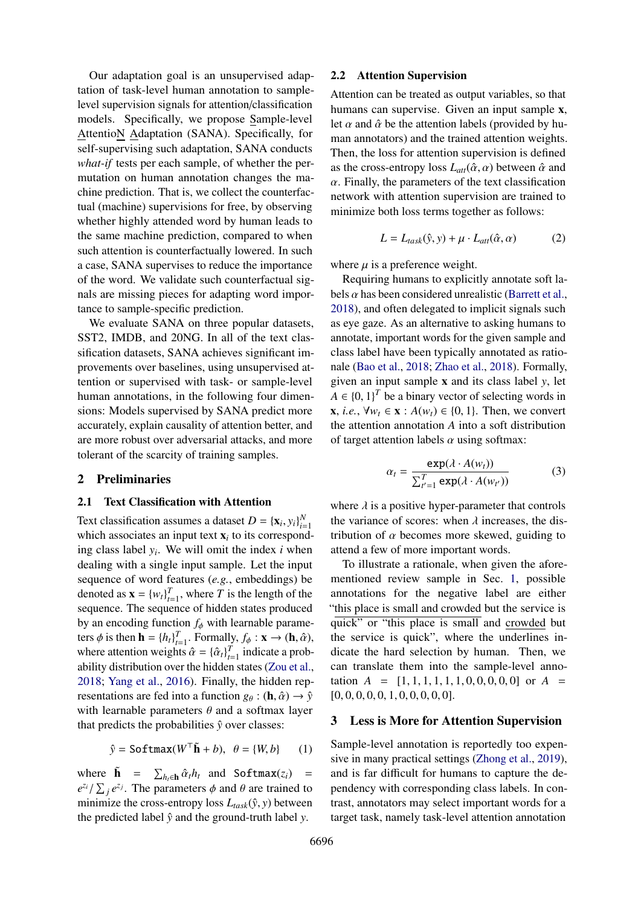Our adaptation goal is an unsupervised adaptation of task-level human annotation to samplelevel supervision signals for attention/classification models. Specifically, we propose Sample-level AttentioN Adaptation (SANA). Specifically, for self-supervising such adaptation, SANA conducts *what-if* tests per each sample, of whether the permutation on human annotation changes the machine prediction. That is, we collect the counterfactual (machine) supervisions for free, by observing whether highly attended word by human leads to the same machine prediction, compared to when such attention is counterfactually lowered. In such a case, SANA supervises to reduce the importance of the word. We validate such counterfactual signals are missing pieces for adapting word importance to sample-specific prediction.

We evaluate SANA on three popular datasets, SST2, IMDB, and 20NG. In all of the text classification datasets, SANA achieves significant improvements over baselines, using unsupervised attention or supervised with task- or sample-level human annotations, in the following four dimensions: Models supervised by SANA predict more accurately, explain causality of attention better, and are more robust over adversarial attacks, and more tolerant of the scarcity of training samples.

## 2 Preliminaries

## 2.1 Text Classification with Attention

Text classification assumes a dataset  $D = {\mathbf{x}_i, y_i}_{i=1}^N$ <br>which associates an input text  $\mathbf{x}_i$  to its correspond which associates an input text  $x_i$  to its corresponding class label *y<sup>i</sup>* . We will omit the index *i* when dealing with a single input sample. Let the input sequence of word features (*e.g.*, embeddings) be denoted as  $\mathbf{x} = \{w_t\}_{t=1}^T$ , where *T* is the length of the sequence. The sequence of hidden states produced by an encoding function  $f_{\phi}$  with learnable parameters  $\phi$  is then  $\mathbf{h} = \{h_t\}_{t=1}^T$ . Formally,  $f_{\phi} : \mathbf{x} \to (\mathbf{h}, \hat{\alpha})$ ,<br>where attention weights  $\hat{\alpha} = \{ \hat{\alpha} \}_{t=1}^T$  indicate a probwhere attention weights  $\hat{\alpha} = {\{\hat{\alpha}_t\}}_{t=1}^T$  indicate a prob-<br>ability distribution over the hidden states (Zou et al. ability distribution over the hidden states [\(Zou et al.,](#page-9-6) [2018;](#page-9-6) [Yang et al.,](#page-9-7) [2016\)](#page-9-7). Finally, the hidden representations are fed into a function  $g_{\theta} : (\mathbf{h}, \hat{\alpha}) \to \hat{y}$ with learnable parameters  $\theta$  and a softmax layer that predicts the probabilities  $\hat{v}$  over classes:

$$
\hat{y} = \text{Softmax}(W^{\top}\tilde{\mathbf{h}} + b), \ \ \theta = \{W, b\} \tag{1}
$$

where  $\tilde{\mathbf{h}} = \sum_{h_i \in \mathbf{h}} \hat{\alpha}_t h_i$  and Softmax(*z<sub>i</sub>*) =  $e^{z_i} / \sum_{i} e^{z_i}$ . The parameters  $\phi$  and  $\theta$  are trained to  $e^{z_i}/\sum_j e^{z_j}$ . The parameters φ and θ are trained to minimize the cross-entropy loss  $I_{(i,j)}(x)$  between minimize the cross-entropy loss  $L_{task}(\hat{y}, y)$  between<br>the predicted label  $\hat{y}$  and the ground-truth label  $y$ the predicted label  $\hat{y}$  and the ground-truth label *y*.

## 2.2 Attention Supervision

Attention can be treated as output variables, so that humans can supervise. Given an input sample x, let  $\alpha$  and  $\hat{\alpha}$  be the attention labels (provided by human annotators) and the trained attention weights. Then, the loss for attention supervision is defined as the cross-entropy loss  $L_{att}(\hat{\alpha}, \alpha)$  between  $\hat{\alpha}$  and  $\alpha$ . Finally, the parameters of the text classification network with attention supervision are trained to minimize both loss terms together as follows:

<span id="page-1-1"></span>
$$
L = L_{task}(\hat{y}, y) + \mu \cdot L_{att}(\hat{\alpha}, \alpha) \tag{2}
$$

where  $\mu$  is a preference weight.

Requiring humans to explicitly annotate soft labels  $\alpha$  has been considered unrealistic [\(Barrett et al.,](#page-8-4) [2018\)](#page-8-4), and often delegated to implicit signals such as eye gaze. As an alternative to asking humans to annotate, important words for the given sample and class label have been typically annotated as rationale [\(Bao et al.,](#page-8-2) [2018;](#page-8-2) [Zhao et al.,](#page-9-8) [2018\)](#page-9-8). Formally, given an input sample x and its class label *y*, let *A* ∈ {0, 1}<sup>*T*</sup> be a binary vector of selecting words in<br>  $\mathbf{v} \cdot \mathbf{i} e^{-\mathbf{y} \cdot \mathbf{u}} e^{-\mathbf{y} \cdot \mathbf{i}} A(\mathbf{w}) \in \{0, 1\}$ . Then, we convert **x**, *i.e.*,  $\forall w_t$  ∈ **x** :  $A(w_t)$  ∈ {0, 1}. Then, we convert the attention annotation *A* into a soft distribution of target attention labels  $\alpha$  using softmax:

<span id="page-1-0"></span>
$$
\alpha_t = \frac{\exp(\lambda \cdot A(w_t))}{\sum_{t'=1}^T \exp(\lambda \cdot A(w_{t'}))}
$$
(3)

where  $\lambda$  is a positive hyper-parameter that controls the variance of scores: when  $\lambda$  increases, the distribution of  $\alpha$  becomes more skewed, guiding to attend a few of more important words.

To illustrate a rationale, when given the aforementioned review sample in Sec. [1,](#page-0-0) possible annotations for the negative label are either "this place is small and crowded but the service is quick" or "this place is small and crowded but the service is quick", where the underlines indicate the hard selection by human. Then, we can translate them into the sample-level annotation  $A = [1, 1, 1, 1, 1, 1, 0, 0, 0, 0, 0]$  or  $A =$  $[0, 0, 0, 0, 0, 1, 0, 0, 0, 0, 0].$ 

## 3 Less is More for Attention Supervision

Sample-level annotation is reportedly too expensive in many practical settings [\(Zhong et al.,](#page-9-5) [2019\)](#page-9-5), and is far difficult for humans to capture the dependency with corresponding class labels. In contrast, annotators may select important words for a target task, namely task-level attention annotation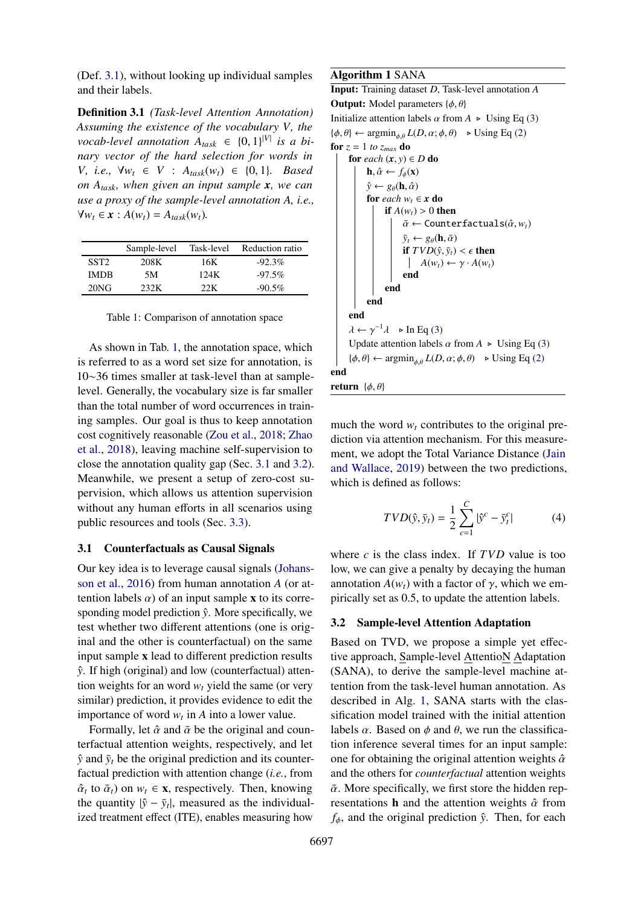(Def. [3.1\)](#page-2-0), without looking up individual samples and their labels.

<span id="page-2-0"></span>Definition 3.1 *(Task-level Attention Annotation) Assuming the existence of the vocabulary V, the vocab-level annotation*  $A_{task} \in \{0, 1\}^{|V|}$  *is a bi-*<br>*nary vector of the hard selection for words in nary vector of the hard selection for words in V, i.e.,*  $∀w_t ∈ V$  :  $A_{task}(w_t) ∈ {0, 1}$ *. Based on Atask, when given an input sample x, we can use a proxy of the sample-level annotation A, i.e.,*  $∀w_t ∈ x : A(w_t) = A_{task}(w_t)$ .

<span id="page-2-1"></span>

|                  | Sample-level | Task-level | Reduction ratio |
|------------------|--------------|------------|-----------------|
| SST <sub>2</sub> | 208K         | 16K        | $-92.3%$        |
| <b>IMDB</b>      | 5M           | 124K       | $-97.5\%$       |
| $20N$ G          | 232K         | ววห        | $-90.5\%$       |

Table 1: Comparison of annotation space

As shown in Tab. [1,](#page-2-1) the annotation space, which is referred to as a word set size for annotation, is 10∼36 times smaller at task-level than at samplelevel. Generally, the vocabulary size is far smaller than the total number of word occurrences in training samples. Our goal is thus to keep annotation cost cognitively reasonable [\(Zou et al.,](#page-9-6) [2018;](#page-9-6) [Zhao](#page-9-8) [et al.,](#page-9-8) [2018\)](#page-9-8), leaving machine self-supervision to close the annotation quality gap (Sec. [3.1](#page-2-2) and [3.2\)](#page-2-3). Meanwhile, we present a setup of zero-cost supervision, which allows us attention supervision without any human efforts in all scenarios using public resources and tools (Sec. [3.3\)](#page-3-0).

#### <span id="page-2-2"></span>3.1 Counterfactuals as Causal Signals

Our key idea is to leverage causal signals [\(Johans](#page-8-5)[son et al.,](#page-8-5) [2016\)](#page-8-5) from human annotation *A* (or attention labels  $\alpha$ ) of an input sample x to its corresponding model prediction  $\hat{y}$ . More specifically, we test whether two different attentions (one is original and the other is counterfactual) on the same input sample x lead to different prediction results *y*ˆ. If high (original) and low (counterfactual) attention weights for an word  $w_t$  yield the same (or very similar) prediction, it provides evidence to edit the importance of word  $w_t$  in *A* into a lower value.

Formally, let  $\hat{\alpha}$  and  $\bar{\alpha}$  be the original and counterfactual attention weights, respectively, and let  $\hat{y}$  and  $\bar{y}_t$  be the original prediction and its counterfactual prediction with attention change (*i.e.*, from  $\hat{\alpha}_t$  to  $\bar{\alpha}_t$ ) on  $w_t \in \mathbf{x}$ , respectively. Then, knowing<br>the quantity  $|\hat{\mathbf{s}} - \bar{\mathbf{s}}|$  measured as the individual the quantity  $|\hat{y} - \bar{y}_t|$ , measured as the individualized treatment effect (ITE), enables measuring how

#### <span id="page-2-4"></span>Algorithm 1 SANA

```
Input: Training dataset D, Task-level annotation A
Output: Model parameters \{\phi, \theta\}Initialize attention labels \alpha from A \triangleright(3)
(2)}for z = 1 to z<sub>max</sub> do
      for each (x, y) \in D do
            \mathbf{h}, \hat{\alpha} \leftarrow f_{\phi}(\mathbf{x})\hat{y} \leftarrow g_{\theta}(\mathbf{h}, \hat{\alpha})for each w_t \in \mathbf{x} do
                   if A(w_t) > 0 then
                         \bar{\alpha} \leftarrow Counterfactuals(\hat{\alpha}, w_t)
                         \bar{y}_t \leftarrow g_\theta(\mathbf{h}, \bar{\alpha})if TVD(\hat{y}, \bar{y}_t) < \epsilon then<br>\begin{aligned} \mid &A(w_t) \leftarrow \gamma \cdot A(w_t) \end{aligned}A(w_t) \leftarrow \gamma \cdot A(w_t)end
                  end
            end
      end
      (3)}<br>Undete ettention labels
      Update attention labels \alpha from A \triangleright(3)
      (2)}end
return \{\phi, \theta\}
```
much the word  $w_t$  contributes to the original prediction via attention mechanism. For this measurement, we adopt the Total Variance Distance [\(Jain](#page-8-0) [and Wallace,](#page-8-0) [2019\)](#page-8-0) between the two predictions, which is defined as follows:

<span id="page-2-5"></span>
$$
TVD(\hat{y}, \bar{y}_t) = \frac{1}{2} \sum_{c=1}^{C} |\hat{y}^c - \bar{y}_t^c|
$$
 (4)

where *c* is the class index. If *TVD* value is too low, we can give a penalty by decaying the human annotation  $A(w_t)$  with a factor of  $\gamma$ , which we empirically set as 0.5, to update the attention labels.

## <span id="page-2-3"></span>3.2 Sample-level Attention Adaptation

Based on TVD, we propose a simple yet effective approach, Sample-level AttentioN Adaptation (SANA), to derive the sample-level machine attention from the task-level human annotation. As described in Alg. [1,](#page-2-4) SANA starts with the classification model trained with the initial attention labels  $\alpha$ . Based on  $\phi$  and  $\theta$ , we run the classification inference several times for an input sample: one for obtaining the original attention weights  $\hat{\alpha}$ and the others for *counterfactual* attention weights  $\bar{\alpha}$ . More specifically, we first store the hidden representations **h** and the attention weights  $\hat{\alpha}$  from  $f_{\phi}$ , and the original prediction  $\hat{y}$ . Then, for each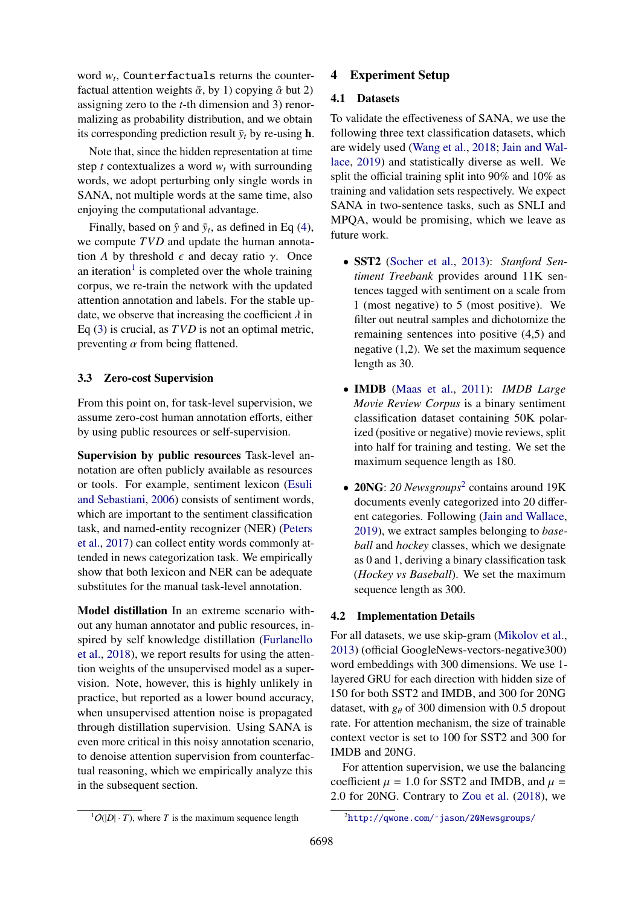word  $w_t$ , Counterfactuals returns the counterfactual attention weights  $\bar{\alpha}$ , by 1) copying  $\hat{\alpha}$  but 2) assigning zero to the *t*-th dimension and 3) renormalizing as probability distribution, and we obtain its corresponding prediction result  $\bar{y}_t$  by re-using **h**.

Note that, since the hidden representation at time step *t* contextualizes a word  $w_t$  with surrounding words, we adopt perturbing only single words in SANA, not multiple words at the same time, also enjoying the computational advantage.

Finally, based on  $\hat{y}$  and  $\bar{y}_t$ , as defined in Eq [\(4\)](#page-2-5), we compute *TVD* and update the human annotation *A* by threshold  $\epsilon$  and decay ratio  $\gamma$ . Once an iteration<sup>[1](#page-3-1)</sup> is completed over the whole training corpus, we re-train the network with the updated attention annotation and labels. For the stable update, we observe that increasing the coefficient  $\lambda$  in Eq [\(3\)](#page-1-0) is crucial, as *TVD* is not an optimal metric, preventing  $\alpha$  from being flattened.

# <span id="page-3-0"></span>3.3 Zero-cost Supervision

From this point on, for task-level supervision, we assume zero-cost human annotation efforts, either by using public resources or self-supervision.

Supervision by public resources Task-level annotation are often publicly available as resources or tools. For example, sentiment lexicon [\(Esuli](#page-8-6) [and Sebastiani,](#page-8-6) [2006\)](#page-8-6) consists of sentiment words, which are important to the sentiment classification task, and named-entity recognizer (NER) [\(Peters](#page-9-9) [et al.,](#page-9-9) [2017\)](#page-9-9) can collect entity words commonly attended in news categorization task. We empirically show that both lexicon and NER can be adequate substitutes for the manual task-level annotation.

Model distillation In an extreme scenario without any human annotator and public resources, inspired by self knowledge distillation [\(Furlanello](#page-8-7) [et al.,](#page-8-7) [2018\)](#page-8-7), we report results for using the attention weights of the unsupervised model as a supervision. Note, however, this is highly unlikely in practice, but reported as a lower bound accuracy, when unsupervised attention noise is propagated through distillation supervision. Using SANA is even more critical in this noisy annotation scenario, to denoise attention supervision from counterfactual reasoning, which we empirically analyze this in the subsequent section.

# 4 Experiment Setup

# 4.1 Datasets

To validate the effectiveness of SANA, we use the following three text classification datasets, which are widely used [\(Wang et al.,](#page-9-10) [2018;](#page-9-10) [Jain and Wal](#page-8-0)[lace,](#page-8-0) [2019\)](#page-8-0) and statistically diverse as well. We split the official training split into 90% and 10% as training and validation sets respectively. We expect SANA in two-sentence tasks, such as SNLI and MPQA, would be promising, which we leave as future work.

- SST2 [\(Socher et al.,](#page-9-11) [2013\)](#page-9-11): *Stanford Sentiment Treebank* provides around 11K sentences tagged with sentiment on a scale from 1 (most negative) to 5 (most positive). We filter out neutral samples and dichotomize the remaining sentences into positive (4,5) and negative (1,2). We set the maximum sequence length as 30.
- IMDB [\(Maas et al.,](#page-8-8) [2011\)](#page-8-8): *IMDB Large Movie Review Corpus* is a binary sentiment classification dataset containing 50K polarized (positive or negative) movie reviews, split into half for training and testing. We set the maximum sequence length as 180.
- 20NG: *20 Newsgroups*[2](#page-3-2) contains around 19K documents evenly categorized into 20 different categories. Following [\(Jain and Wallace,](#page-8-0) [2019\)](#page-8-0), we extract samples belonging to *baseball* and *hockey* classes, which we designate as 0 and 1, deriving a binary classification task (*Hockey vs Baseball*). We set the maximum sequence length as 300.

# 4.2 Implementation Details

For all datasets, we use skip-gram [\(Mikolov et al.,](#page-8-9) [2013\)](#page-8-9) (official GoogleNews-vectors-negative300) word embeddings with 300 dimensions. We use 1 layered GRU for each direction with hidden size of 150 for both SST2 and IMDB, and 300 for 20NG dataset, with  $g_{\theta}$  of 300 dimension with 0.5 dropout rate. For attention mechanism, the size of trainable context vector is set to 100 for SST2 and 300 for IMDB and 20NG.

For attention supervision, we use the balancing coefficient  $\mu = 1.0$  for SST2 and IMDB, and  $\mu =$ <sup>2</sup>.0 for 20NG. Contrary to [Zou et al.](#page-9-6) [\(2018\)](#page-9-6), we

<span id="page-3-1"></span> ${}^{1}O(|D| \cdot T)$ , where *T* is the maximum sequence length

<span id="page-3-2"></span><sup>2</sup>[http://qwone.com/˜jason/20Newsgroups/](http://qwone.com/~jason/20Newsgroups/)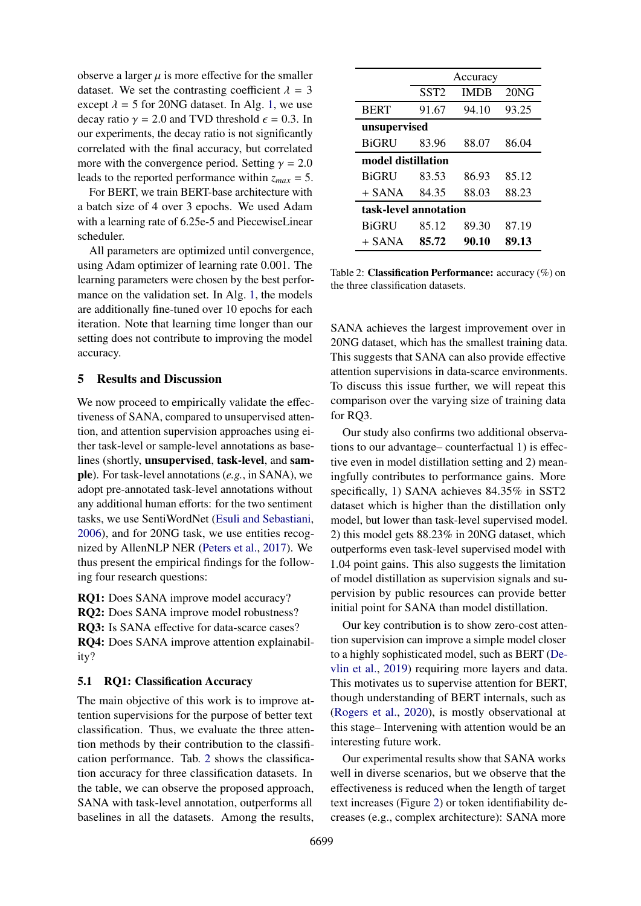observe a larger  $\mu$  is more effective for the smaller dataset. We set the contrasting coefficient  $\lambda = 3$ except  $\lambda = 5$  for 20NG dataset. In Alg. [1,](#page-2-4) we use decay ratio  $\gamma = 2.0$  and TVD threshold  $\epsilon = 0.3$ . In our experiments, the decay ratio is not significantly correlated with the final accuracy, but correlated more with the convergence period. Setting  $\gamma = 2.0$ leads to the reported performance within *zmax* = 5.

For BERT, we train BERT-base architecture with a batch size of 4 over 3 epochs. We used Adam with a learning rate of 6.25e-5 and PiecewiseLinear scheduler.

All parameters are optimized until convergence, using Adam optimizer of learning rate 0.001. The learning parameters were chosen by the best performance on the validation set. In Alg. [1,](#page-2-4) the models are additionally fine-tuned over 10 epochs for each iteration. Note that learning time longer than our setting does not contribute to improving the model accuracy.

# 5 Results and Discussion

We now proceed to empirically validate the effectiveness of SANA, compared to unsupervised attention, and attention supervision approaches using either task-level or sample-level annotations as baselines (shortly, unsupervised, task-level, and sample). For task-level annotations (*e.g.*, in SANA), we adopt pre-annotated task-level annotations without any additional human efforts: for the two sentiment tasks, we use SentiWordNet [\(Esuli and Sebastiani,](#page-8-6) [2006\)](#page-8-6), and for 20NG task, we use entities recognized by AllenNLP NER [\(Peters et al.,](#page-9-9) [2017\)](#page-9-9). We thus present the empirical findings for the following four research questions:

RQ1: Does SANA improve model accuracy? RQ2: Does SANA improve model robustness? RQ3: Is SANA effective for data-scarce cases? RQ4: Does SANA improve attention explainability?

#### 5.1 RQ1: Classification Accuracy

The main objective of this work is to improve attention supervisions for the purpose of better text classification. Thus, we evaluate the three attention methods by their contribution to the classification performance. Tab. [2](#page-4-0) shows the classification accuracy for three classification datasets. In the table, we can observe the proposed approach, SANA with task-level annotation, outperforms all baselines in all the datasets. Among the results,

<span id="page-4-0"></span>

|                       | Accuracy         |             |       |  |  |  |
|-----------------------|------------------|-------------|-------|--|--|--|
|                       | SST <sub>2</sub> | <b>IMDB</b> | 20NG  |  |  |  |
| <b>BERT</b>           | 91.67            | 94.10       | 93.25 |  |  |  |
| unsupervised          |                  |             |       |  |  |  |
| <b>BiGRU</b>          | 83.96            | 88.07       | 86.04 |  |  |  |
| model distillation    |                  |             |       |  |  |  |
| <b>BiGRU</b>          | 83.53            | 86.93       | 85.12 |  |  |  |
| + SANA                | 84.35            | 88.03       | 88.23 |  |  |  |
| task-level annotation |                  |             |       |  |  |  |
| <b>BiGRU</b>          | 85.12            | 89.30       | 87.19 |  |  |  |
| + SANA                | 85.72            | 90.10       | 89.13 |  |  |  |

Table 2: Classification Performance: accuracy (%) on the three classification datasets.

SANA achieves the largest improvement over in 20NG dataset, which has the smallest training data. This suggests that SANA can also provide effective attention supervisions in data-scarce environments. To discuss this issue further, we will repeat this comparison over the varying size of training data for RQ3.

Our study also confirms two additional observations to our advantage– counterfactual 1) is effective even in model distillation setting and 2) meaningfully contributes to performance gains. More specifically, 1) SANA achieves 84.35% in SST2 dataset which is higher than the distillation only model, but lower than task-level supervised model. 2) this model gets 88.23% in 20NG dataset, which outperforms even task-level supervised model with 1.04 point gains. This also suggests the limitation of model distillation as supervision signals and supervision by public resources can provide better initial point for SANA than model distillation.

Our key contribution is to show zero-cost attention supervision can improve a simple model closer to a highly sophisticated model, such as BERT [\(De](#page-8-10)[vlin et al.,](#page-8-10) [2019\)](#page-8-10) requiring more layers and data. This motivates us to supervise attention for BERT, though understanding of BERT internals, such as [\(Rogers et al.,](#page-9-12) [2020\)](#page-9-12), is mostly observational at this stage– Intervening with attention would be an interesting future work.

Our experimental results show that SANA works well in diverse scenarios, but we observe that the effectiveness is reduced when the length of target text increases (Figure [2\)](#page-7-0) or token identifiability decreases (e.g., complex architecture): SANA more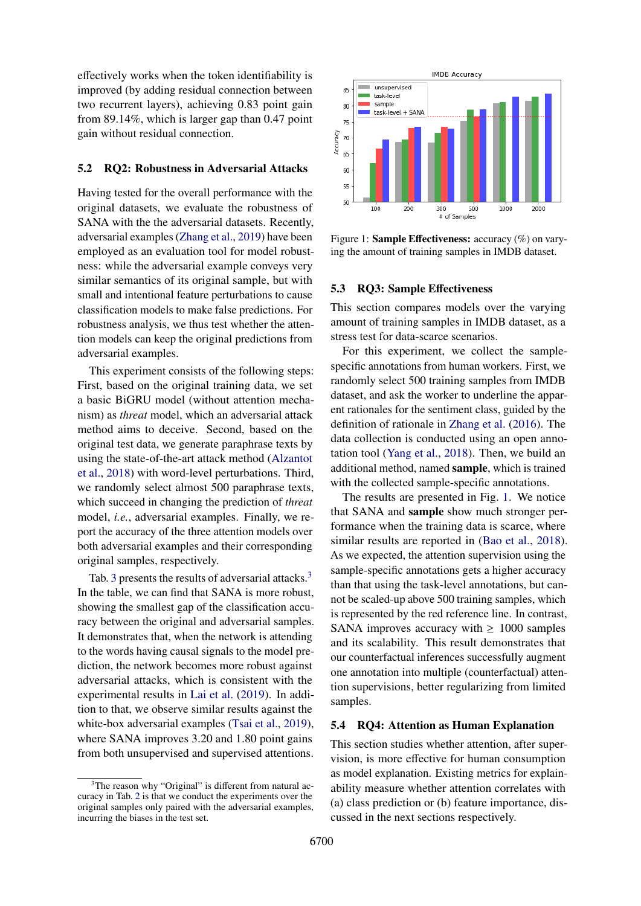effectively works when the token identifiability is improved (by adding residual connection between two recurrent layers), achieving 0.83 point gain from 89.14%, which is larger gap than 0.47 point gain without residual connection.

#### 5.2 RQ2: Robustness in Adversarial Attacks

Having tested for the overall performance with the original datasets, we evaluate the robustness of SANA with the the adversarial datasets. Recently, adversarial examples [\(Zhang et al.,](#page-9-13) [2019\)](#page-9-13) have been employed as an evaluation tool for model robustness: while the adversarial example conveys very similar semantics of its original sample, but with small and intentional feature perturbations to cause classification models to make false predictions. For robustness analysis, we thus test whether the attention models can keep the original predictions from adversarial examples.

This experiment consists of the following steps: First, based on the original training data, we set a basic BiGRU model (without attention mechanism) as *threat* model, which an adversarial attack method aims to deceive. Second, based on the original test data, we generate paraphrase texts by using the state-of-the-art attack method [\(Alzantot](#page-8-11) [et al.,](#page-8-11) [2018\)](#page-8-11) with word-level perturbations. Third, we randomly select almost 500 paraphrase texts, which succeed in changing the prediction of *threat* model, *i.e.*, adversarial examples. Finally, we report the accuracy of the three attention models over both adversarial examples and their corresponding original samples, respectively.

Tab. [3](#page-5-0) presents the results of adversarial attacks.<sup>3</sup> In the table, we can find that SANA is more robust, showing the smallest gap of the classification accuracy between the original and adversarial samples. It demonstrates that, when the network is attending to the words having causal signals to the model prediction, the network becomes more robust against adversarial attacks, which is consistent with the experimental results in [Lai et al.](#page-8-12) [\(2019\)](#page-8-12). In addition to that, we observe similar results against the white-box adversarial examples [\(Tsai et al.,](#page-9-14) [2019\)](#page-9-14), where SANA improves 3.20 and 1.80 point gains from both unsupervised and supervised attentions.

<span id="page-5-1"></span>

Figure 1: **Sample Effectiveness:** accuracy (%) on varying the amount of training samples in IMDB dataset.

#### 5.3 RQ3: Sample Effectiveness

This section compares models over the varying amount of training samples in IMDB dataset, as a stress test for data-scarce scenarios.

For this experiment, we collect the samplespecific annotations from human workers. First, we randomly select 500 training samples from IMDB dataset, and ask the worker to underline the apparent rationales for the sentiment class, guided by the definition of rationale in [Zhang et al.](#page-9-15) [\(2016\)](#page-9-15). The data collection is conducted using an open annotation tool [\(Yang et al.,](#page-9-16) [2018\)](#page-9-16). Then, we build an additional method, named sample, which is trained with the collected sample-specific annotations.

The results are presented in Fig. [1.](#page-5-1) We notice that SANA and sample show much stronger performance when the training data is scarce, where similar results are reported in [\(Bao et al.,](#page-8-2) [2018\)](#page-8-2). As we expected, the attention supervision using the sample-specific annotations gets a higher accuracy than that using the task-level annotations, but cannot be scaled-up above 500 training samples, which is represented by the red reference line. In contrast, SANA improves accuracy with  $\geq 1000$  samples and its scalability. This result demonstrates that our counterfactual inferences successfully augment one annotation into multiple (counterfactual) attention supervisions, better regularizing from limited samples.

## 5.4 RQ4: Attention as Human Explanation

This section studies whether attention, after supervision, is more effective for human consumption as model explanation. Existing metrics for explainability measure whether attention correlates with (a) class prediction or (b) feature importance, discussed in the next sections respectively.

<span id="page-5-0"></span><sup>&</sup>lt;sup>3</sup>The reason why "Original" is different from natural accuracy in Tab. [2](#page-4-0) is that we conduct the experiments over the original samples only paired with the adversarial examples, incurring the biases in the test set.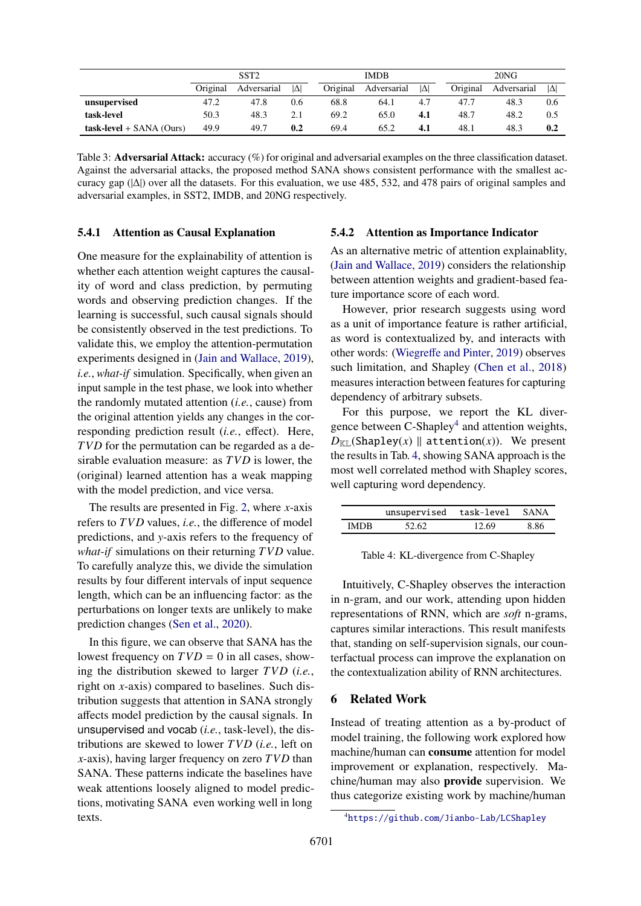<span id="page-6-0"></span>

|                            | SST <sub>2</sub> |             |            | <b>IMDB</b> |             | 20NG       |          |             |     |
|----------------------------|------------------|-------------|------------|-------------|-------------|------------|----------|-------------|-----|
|                            | Original         | Adversarial | $ \Delta $ | Original    | Adversarial | $ \Delta $ | Original | Adversarial | IΔ  |
| unsupervised               | 47.2             | 47.8        | 0.6        | 68.8        | 64.1        | 4.7        | 47.7     | 48.3        | 0.6 |
| task-level                 | 50.3             | 48.3        | 2.1        | 69.2        | 65.0        | 4.1        | 48.7     | 48.2        | 0.5 |
| $task-level + SANA (Ours)$ | 49.9             | 49.7        | 0.2        | 69.4        | 65.2        | 4.1        | 48.1     | 48.3        | 0.2 |

Table 3: **Adversarial Attack:** accuracy (%) for original and adversarial examples on the three classification dataset. Against the adversarial attacks, the proposed method SANA shows consistent performance with the smallest accuracy gap  $(|\Delta|)$  over all the datasets. For this evaluation, we use 485, 532, and 478 pairs of original samples and adversarial examples, in SST2, IMDB, and 20NG respectively.

## 5.4.1 Attention as Causal Explanation

One measure for the explainability of attention is whether each attention weight captures the causality of word and class prediction, by permuting words and observing prediction changes. If the learning is successful, such causal signals should be consistently observed in the test predictions. To validate this, we employ the attention-permutation experiments designed in [\(Jain and Wallace,](#page-8-0) [2019\)](#page-8-0), *i.e.*, *what-if* simulation. Specifically, when given an input sample in the test phase, we look into whether the randomly mutated attention (*i.e.*, cause) from the original attention yields any changes in the corresponding prediction result (*i.e.*, effect). Here, *TVD* for the permutation can be regarded as a desirable evaluation measure: as *TVD* is lower, the (original) learned attention has a weak mapping with the model prediction, and vice versa.

The results are presented in Fig. [2,](#page-7-0) where *x*-axis refers to *TVD* values, *i.e.*, the difference of model predictions, and *y*-axis refers to the frequency of *what-if* simulations on their returning *TVD* value. To carefully analyze this, we divide the simulation results by four different intervals of input sequence length, which can be an influencing factor: as the perturbations on longer texts are unlikely to make prediction changes [\(Sen et al.,](#page-9-17) [2020\)](#page-9-17).

In this figure, we can observe that SANA has the lowest frequency on  $TVD = 0$  in all cases, showing the distribution skewed to larger *TVD* (*i.e.*, right on *x*-axis) compared to baselines. Such distribution suggests that attention in SANA strongly affects model prediction by the causal signals. In unsupervised and vocab (*i.e.*, task-level), the distributions are skewed to lower *TVD* (*i.e.*, left on *x*-axis), having larger frequency on zero *TVD* than SANA. These patterns indicate the baselines have weak attentions loosely aligned to model predictions, motivating SANA even working well in long texts.

## 5.4.2 Attention as Importance Indicator

As an alternative metric of attention explainablity, [\(Jain and Wallace,](#page-8-0) [2019\)](#page-8-0) considers the relationship between attention weights and gradient-based feature importance score of each word.

However, prior research suggests using word as a unit of importance feature is rather artificial, as word is contextualized by, and interacts with other words: (Wiegreff[e and Pinter,](#page-9-2) [2019\)](#page-9-2) observes such limitation, and Shapley [\(Chen et al.,](#page-8-13) [2018\)](#page-8-13) measures interaction between features for capturing dependency of arbitrary subsets.

For this purpose, we report the KL diver-gence between C-Shapley<sup>[4](#page-6-1)</sup> and attention weights,  $D_{\text{KL}}$ (Shapley(*x*) || attention(*x*)). We present the results in Tab. [4,](#page-6-2) showing SANA approach is the most well correlated method with Shapley scores, well capturing word dependency.

<span id="page-6-2"></span>

|             | unsupervised | task-level | <b>SANA</b> |
|-------------|--------------|------------|-------------|
| <b>IMDR</b> | 52.62        | 12.69      | 8.86        |

Table 4: KL-divergence from C-Shapley

Intuitively, C-Shapley observes the interaction in n-gram, and our work, attending upon hidden representations of RNN, which are *soft* n-grams, captures similar interactions. This result manifests that, standing on self-supervision signals, our counterfactual process can improve the explanation on the contextualization ability of RNN architectures.

# 6 Related Work

Instead of treating attention as a by-product of model training, the following work explored how machine/human can consume attention for model improvement or explanation, respectively. Machine/human may also provide supervision. We thus categorize existing work by machine/human

<span id="page-6-1"></span><sup>4</sup><https://github.com/Jianbo-Lab/LCShapley>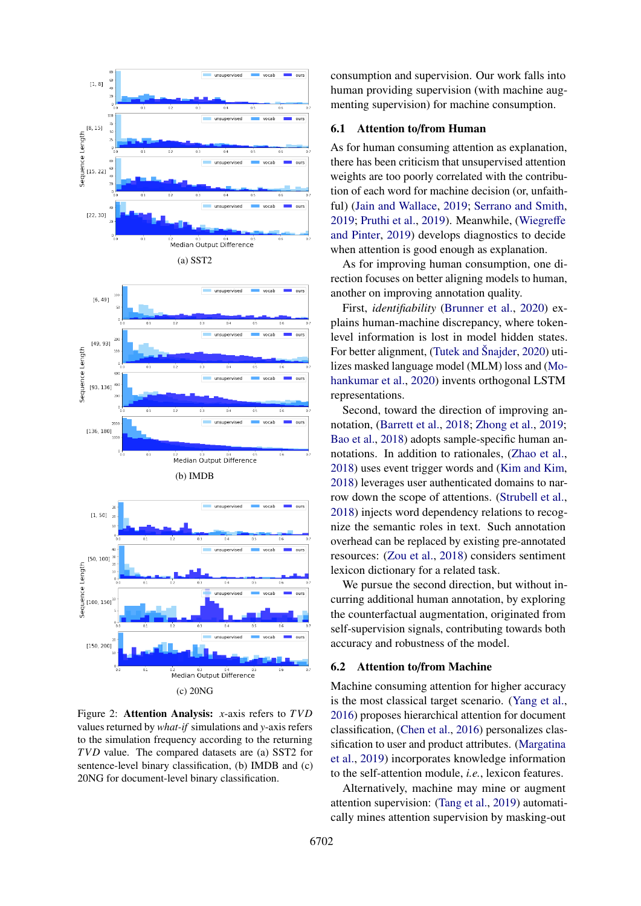<span id="page-7-0"></span>

Figure 2: Attention Analysis: *x*-axis refers to *TVD* values returned by *what-if* simulations and *y*-axis refers to the simulation frequency according to the returning *TVD* value. The compared datasets are (a) SST2 for sentence-level binary classification, (b) IMDB and (c) 20NG for document-level binary classification.

consumption and supervision. Our work falls into human providing supervision (with machine augmenting supervision) for machine consumption.

#### 6.1 Attention to/from Human

As for human consuming attention as explanation, there has been criticism that unsupervised attention weights are too poorly correlated with the contribution of each word for machine decision (or, unfaithful) [\(Jain and Wallace,](#page-8-0) [2019;](#page-8-0) [Serrano and Smith,](#page-9-1) [2019;](#page-9-1) [Pruthi et al.,](#page-9-18) [2019\)](#page-9-18). Meanwhile, [\(Wiegre](#page-9-2)ffe [and Pinter,](#page-9-2) [2019\)](#page-9-2) develops diagnostics to decide when attention is good enough as explanation.

As for improving human consumption, one direction focuses on better aligning models to human, another on improving annotation quality.

First, *identifiability* [\(Brunner et al.,](#page-8-14) [2020\)](#page-8-14) explains human-machine discrepancy, where tokenlevel information is lost in model hidden states. For better alignment, [\(Tutek and](#page-9-19) Šnajder, [2020\)](#page-9-19) utilizes masked language model (MLM) loss and [\(Mo](#page-8-15)[hankumar et al.,](#page-8-15) [2020\)](#page-8-15) invents orthogonal LSTM representations.

Second, toward the direction of improving annotation, [\(Barrett et al.,](#page-8-4) [2018;](#page-8-4) [Zhong et al.,](#page-9-5) [2019;](#page-9-5) [Bao et al.,](#page-8-2) [2018\)](#page-8-2) adopts sample-specific human annotations. In addition to rationales, [\(Zhao et al.,](#page-9-8) [2018\)](#page-9-8) uses event trigger words and [\(Kim and Kim,](#page-8-16) [2018\)](#page-8-16) leverages user authenticated domains to narrow down the scope of attentions. [\(Strubell et al.,](#page-9-20) [2018\)](#page-9-20) injects word dependency relations to recognize the semantic roles in text. Such annotation overhead can be replaced by existing pre-annotated resources: [\(Zou et al.,](#page-9-6) [2018\)](#page-9-6) considers sentiment lexicon dictionary for a related task.

We pursue the second direction, but without incurring additional human annotation, by exploring the counterfactual augmentation, originated from self-supervision signals, contributing towards both accuracy and robustness of the model.

#### 6.2 Attention to/from Machine

Machine consuming attention for higher accuracy is the most classical target scenario. [\(Yang et al.,](#page-9-7) [2016\)](#page-9-7) proposes hierarchical attention for document classification, [\(Chen et al.,](#page-8-17) [2016\)](#page-8-17) personalizes classification to user and product attributes. [\(Margatina](#page-8-18) [et al.,](#page-8-18) [2019\)](#page-8-18) incorporates knowledge information to the self-attention module, *i.e.*, lexicon features.

Alternatively, machine may mine or augment attention supervision: [\(Tang et al.,](#page-9-3) [2019\)](#page-9-3) automatically mines attention supervision by masking-out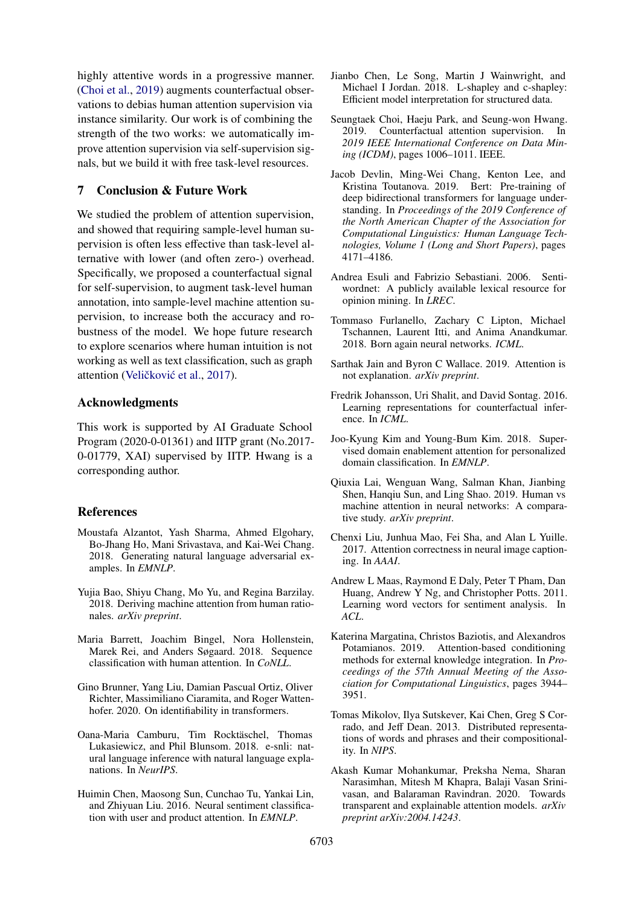highly attentive words in a progressive manner. [\(Choi et al.,](#page-8-19) [2019\)](#page-8-19) augments counterfactual observations to debias human attention supervision via instance similarity. Our work is of combining the strength of the two works: we automatically improve attention supervision via self-supervision signals, but we build it with free task-level resources.

# 7 Conclusion & Future Work

We studied the problem of attention supervision, and showed that requiring sample-level human supervision is often less effective than task-level alternative with lower (and often zero-) overhead. Specifically, we proposed a counterfactual signal for self-supervision, to augment task-level human annotation, into sample-level machine attention supervision, to increase both the accuracy and robustness of the model. We hope future research to explore scenarios where human intuition is not working as well as text classification, such as graph attention (Veličković et al., [2017\)](#page-9-21).

# Acknowledgments

This work is supported by AI Graduate School Program (2020-0-01361) and IITP grant (No.2017- 0-01779, XAI) supervised by IITP. Hwang is a corresponding author.

# References

- <span id="page-8-11"></span>Moustafa Alzantot, Yash Sharma, Ahmed Elgohary, Bo-Jhang Ho, Mani Srivastava, and Kai-Wei Chang. 2018. Generating natural language adversarial examples. In *EMNLP*.
- <span id="page-8-2"></span>Yujia Bao, Shiyu Chang, Mo Yu, and Regina Barzilay. 2018. Deriving machine attention from human rationales. *arXiv preprint*.
- <span id="page-8-4"></span>Maria Barrett, Joachim Bingel, Nora Hollenstein, Marek Rei, and Anders Søgaard. 2018. Sequence classification with human attention. In *CoNLL*.
- <span id="page-8-14"></span>Gino Brunner, Yang Liu, Damian Pascual Ortiz, Oliver Richter, Massimiliano Ciaramita, and Roger Wattenhofer. 2020. On identifiability in transformers.
- <span id="page-8-3"></span>Oana-Maria Camburu, Tim Rocktäschel, Thomas Lukasiewicz, and Phil Blunsom. 2018. e-snli: natural language inference with natural language explanations. In *NeurIPS*.
- <span id="page-8-17"></span>Huimin Chen, Maosong Sun, Cunchao Tu, Yankai Lin, and Zhiyuan Liu. 2016. Neural sentiment classification with user and product attention. In *EMNLP*.
- <span id="page-8-13"></span>Jianbo Chen, Le Song, Martin J Wainwright, and Michael I Jordan. 2018. L-shapley and c-shapley: Efficient model interpretation for structured data.
- <span id="page-8-19"></span>Seungtaek Choi, Haeju Park, and Seung-won Hwang. 2019. Counterfactual attention supervision. In *2019 IEEE International Conference on Data Mining (ICDM)*, pages 1006–1011. IEEE.
- <span id="page-8-10"></span>Jacob Devlin, Ming-Wei Chang, Kenton Lee, and Kristina Toutanova. 2019. Bert: Pre-training of deep bidirectional transformers for language understanding. In *Proceedings of the 2019 Conference of the North American Chapter of the Association for Computational Linguistics: Human Language Technologies, Volume 1 (Long and Short Papers)*, pages 4171–4186.
- <span id="page-8-6"></span>Andrea Esuli and Fabrizio Sebastiani. 2006. Sentiwordnet: A publicly available lexical resource for opinion mining. In *LREC*.
- <span id="page-8-7"></span>Tommaso Furlanello, Zachary C Lipton, Michael Tschannen, Laurent Itti, and Anima Anandkumar. 2018. Born again neural networks. *ICML*.
- <span id="page-8-0"></span>Sarthak Jain and Byron C Wallace. 2019. Attention is not explanation. *arXiv preprint*.
- <span id="page-8-5"></span>Fredrik Johansson, Uri Shalit, and David Sontag. 2016. Learning representations for counterfactual inference. In *ICML*.
- <span id="page-8-16"></span>Joo-Kyung Kim and Young-Bum Kim. 2018. Supervised domain enablement attention for personalized domain classification. In *EMNLP*.
- <span id="page-8-12"></span>Qiuxia Lai, Wenguan Wang, Salman Khan, Jianbing Shen, Hanqiu Sun, and Ling Shao. 2019. Human vs machine attention in neural networks: A comparative study. *arXiv preprint*.
- <span id="page-8-1"></span>Chenxi Liu, Junhua Mao, Fei Sha, and Alan L Yuille. 2017. Attention correctness in neural image captioning. In *AAAI*.
- <span id="page-8-8"></span>Andrew L Maas, Raymond E Daly, Peter T Pham, Dan Huang, Andrew Y Ng, and Christopher Potts. 2011. Learning word vectors for sentiment analysis. In *ACL*.
- <span id="page-8-18"></span>Katerina Margatina, Christos Baziotis, and Alexandros Potamianos. 2019. Attention-based conditioning methods for external knowledge integration. In *Proceedings of the 57th Annual Meeting of the Association for Computational Linguistics*, pages 3944– 3951.
- <span id="page-8-9"></span>Tomas Mikolov, Ilya Sutskever, Kai Chen, Greg S Corrado, and Jeff Dean. 2013. Distributed representations of words and phrases and their compositionality. In *NIPS*.
- <span id="page-8-15"></span>Akash Kumar Mohankumar, Preksha Nema, Sharan Narasimhan, Mitesh M Khapra, Balaji Vasan Srinivasan, and Balaraman Ravindran. 2020. Towards transparent and explainable attention models. *arXiv preprint arXiv:2004.14243*.